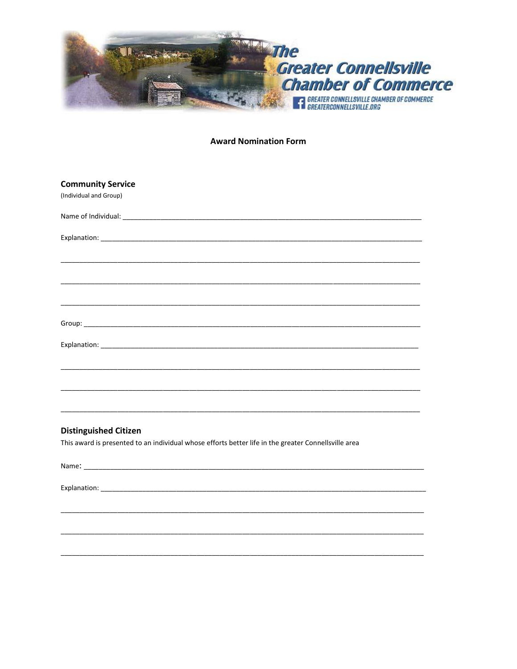

### **Award Nomination Form**

| <b>Community Service</b><br>(Individual and Group) |  |
|----------------------------------------------------|--|
|                                                    |  |
|                                                    |  |
|                                                    |  |
|                                                    |  |
|                                                    |  |
|                                                    |  |
|                                                    |  |
|                                                    |  |
|                                                    |  |
|                                                    |  |
| misato accidente di miator                         |  |

**Distinguished Citizen** 

This award is presented to an individual whose efforts better life in the greater Connellsville area

Explanation: Explanation: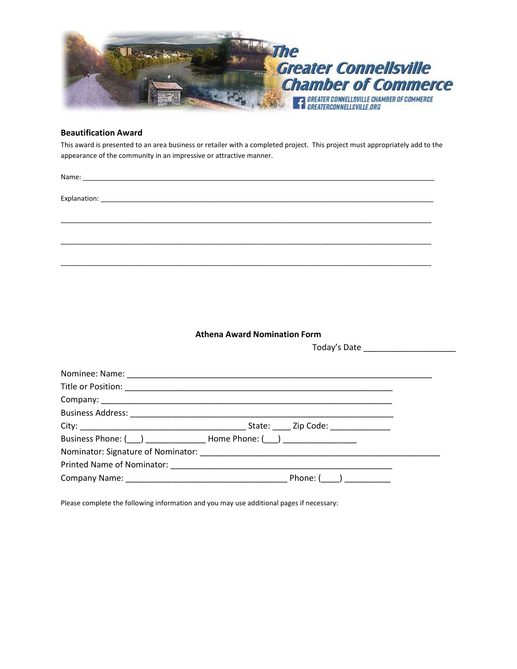

## **Beautification Award**

This award is presented to an area business or retailer with a completed project. This project must appropriately add to the appearance of the community in an impressive or attractive manner.

\_\_\_\_\_\_\_\_\_\_\_\_\_\_\_\_\_\_\_\_\_\_\_\_\_\_\_\_\_\_\_\_\_\_\_\_\_\_\_\_\_\_\_\_\_\_\_\_\_\_\_\_\_\_\_\_\_\_\_\_\_\_\_\_\_\_\_\_\_\_\_\_\_\_\_\_\_\_\_\_\_\_\_\_\_\_\_\_\_\_\_\_\_\_\_\_\_\_

\_\_\_\_\_\_\_\_\_\_\_\_\_\_\_\_\_\_\_\_\_\_\_\_\_\_\_\_\_\_\_\_\_\_\_\_\_\_\_\_\_\_\_\_\_\_\_\_\_\_\_\_\_\_\_\_\_\_\_\_\_\_\_\_\_\_\_\_\_\_\_\_\_\_\_\_\_\_\_\_\_\_\_\_\_\_\_\_\_\_\_\_\_\_\_\_\_\_

\_\_\_\_\_\_\_\_\_\_\_\_\_\_\_\_\_\_\_\_\_\_\_\_\_\_\_\_\_\_\_\_\_\_\_\_\_\_\_\_\_\_\_\_\_\_\_\_\_\_\_\_\_\_\_\_\_\_\_\_\_\_\_\_\_\_\_\_\_\_\_\_\_\_\_\_\_\_\_\_\_\_\_\_\_\_\_\_\_\_\_\_\_\_\_\_\_\_

Name: \_\_\_\_\_\_\_\_\_\_\_\_\_\_\_\_\_\_\_\_\_\_\_\_\_\_\_\_\_\_\_\_\_\_\_\_\_\_\_\_\_\_\_\_\_\_\_\_\_\_\_\_\_\_\_\_\_\_\_\_\_\_\_\_\_\_\_\_\_\_\_\_\_\_\_\_\_\_\_\_\_\_\_\_\_\_\_\_\_\_\_\_\_

Explanation: \_\_\_\_\_\_\_\_\_\_\_\_\_\_\_\_\_\_\_\_\_\_\_\_\_\_\_\_\_\_\_\_\_\_\_\_\_\_\_\_\_\_\_\_\_\_\_\_\_\_\_\_\_\_\_\_\_\_\_\_\_\_\_\_\_\_\_\_\_\_\_\_\_\_\_\_\_\_\_\_\_\_\_\_\_\_\_\_

**Athena Award Nomination Form**

Today's Date \_\_\_\_\_\_\_\_\_\_\_\_\_\_\_\_\_\_\_\_

| Phone: $(\_\_\_\_)$ |
|---------------------|

Please complete the following information and you may use additional pages if necessary: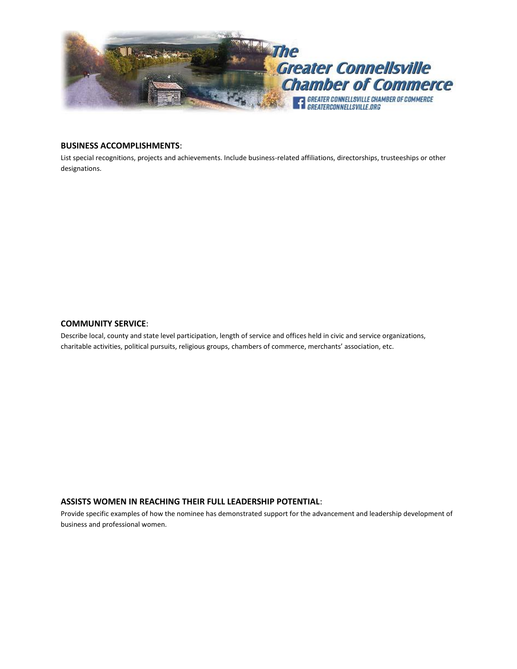

# **BUSINESS ACCOMPLISHMENTS**:

List special recognitions, projects and achievements. Include business-related affiliations, directorships, trusteeships or other designations.

#### **COMMUNITY SERVICE**:

Describe local, county and state level participation, length of service and offices held in civic and service organizations, charitable activities, political pursuits, religious groups, chambers of commerce, merchants' association, etc.

### **ASSISTS WOMEN IN REACHING THEIR FULL LEADERSHIP POTENTIAL**:

Provide specific examples of how the nominee has demonstrated support for the advancement and leadership development of business and professional women.